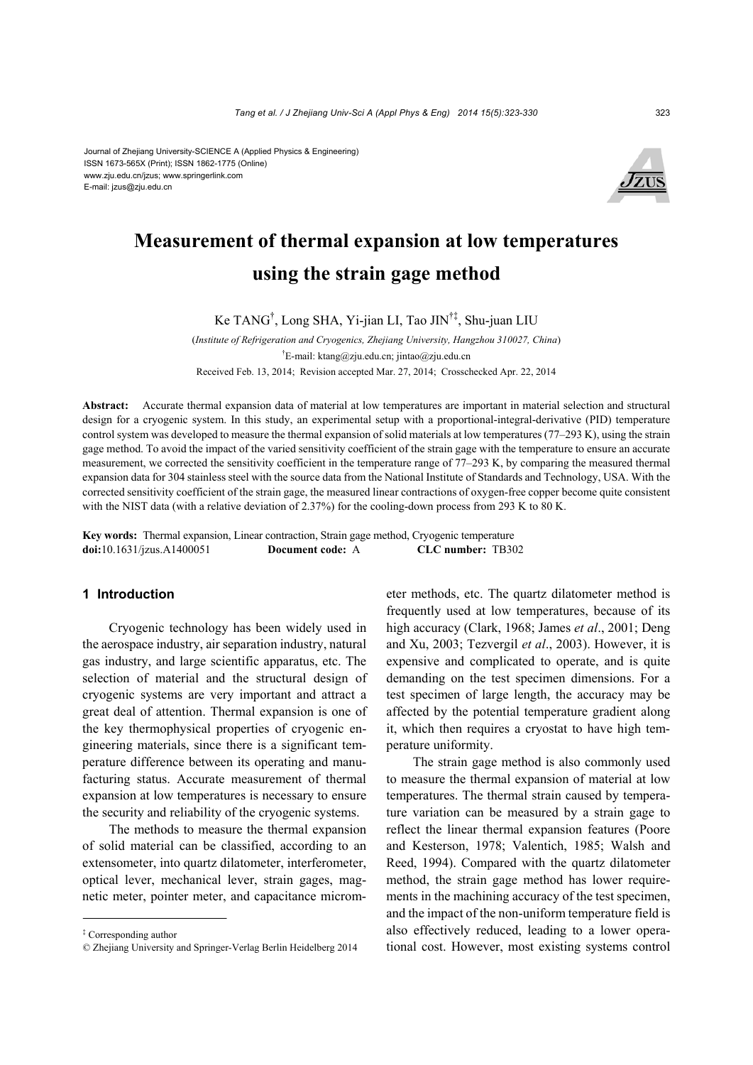Journal of Zhejiang University-SCIENCE A (Applied Physics & Engineering) ISSN 1673-565X (Print); ISSN 1862-1775 (Online) www.zju.edu.cn/jzus; www.springerlink.com E-mail: jzus@zju.edu.cn



## **Measurement of thermal expansion at low temperatures using the strain gage method**

Ke TANG† , Long SHA, Yi-jian LI, Tao JIN†‡, Shu-juan LIU

(*Institute of Refrigeration and Cryogenics, Zhejiang University, Hangzhou 310027, China*) † E-mail: ktang@zju.edu.cn; jintao@zju.edu.cn Received Feb. 13, 2014; Revision accepted Mar. 27, 2014; Crosschecked Apr. 22, 2014

**Abstract:** Accurate thermal expansion data of material at low temperatures are important in material selection and structural design for a cryogenic system. In this study, an experimental setup with a proportional-integral-derivative (PID) temperature control system was developed to measure the thermal expansion of solid materials at low temperatures (77–293 K), using the strain gage method. To avoid the impact of the varied sensitivity coefficient of the strain gage with the temperature to ensure an accurate measurement, we corrected the sensitivity coefficient in the temperature range of 77–293 K, by comparing the measured thermal expansion data for 304 stainless steel with the source data from the National Institute of Standards and Technology, USA. With the corrected sensitivity coefficient of the strain gage, the measured linear contractions of oxygen-free copper become quite consistent with the NIST data (with a relative deviation of 2.37%) for the cooling-down process from 293 K to 80 K.

**Key words:** Thermal expansion, Linear contraction, Strain gage method, Cryogenic temperature **doi:**10.1631/jzus.A1400051 **Document code:** A **CLC number:** TB302

## **1 Introduction**

Cryogenic technology has been widely used in the aerospace industry, air separation industry, natural gas industry, and large scientific apparatus, etc. The selection of material and the structural design of cryogenic systems are very important and attract a great deal of attention. Thermal expansion is one of the key thermophysical properties of cryogenic engineering materials, since there is a significant temperature difference between its operating and manufacturing status. Accurate measurement of thermal expansion at low temperatures is necessary to ensure the security and reliability of the cryogenic systems.

The methods to measure the thermal expansion of solid material can be classified, according to an extensometer, into quartz dilatometer, interferometer, optical lever, mechanical lever, strain gages, magnetic meter, pointer meter, and capacitance micrometer methods, etc. The quartz dilatometer method is frequently used at low temperatures, because of its high accuracy (Clark, 1968; James *et al*., 2001; Deng and Xu, 2003; Tezvergil *et al*., 2003). However, it is expensive and complicated to operate, and is quite demanding on the test specimen dimensions. For a test specimen of large length, the accuracy may be affected by the potential temperature gradient along it, which then requires a cryostat to have high temperature uniformity.

The strain gage method is also commonly used to measure the thermal expansion of material at low temperatures. The thermal strain caused by temperature variation can be measured by a strain gage to reflect the linear thermal expansion features (Poore and Kesterson, 1978; Valentich, 1985; Walsh and Reed, 1994). Compared with the quartz dilatometer method, the strain gage method has lower requirements in the machining accuracy of the test specimen, and the impact of the non-uniform temperature field is also effectively reduced, leading to a lower operational cost. However, most existing systems control

<sup>‡</sup> Corresponding author

<sup>©</sup> Zhejiang University and Springer-Verlag Berlin Heidelberg 2014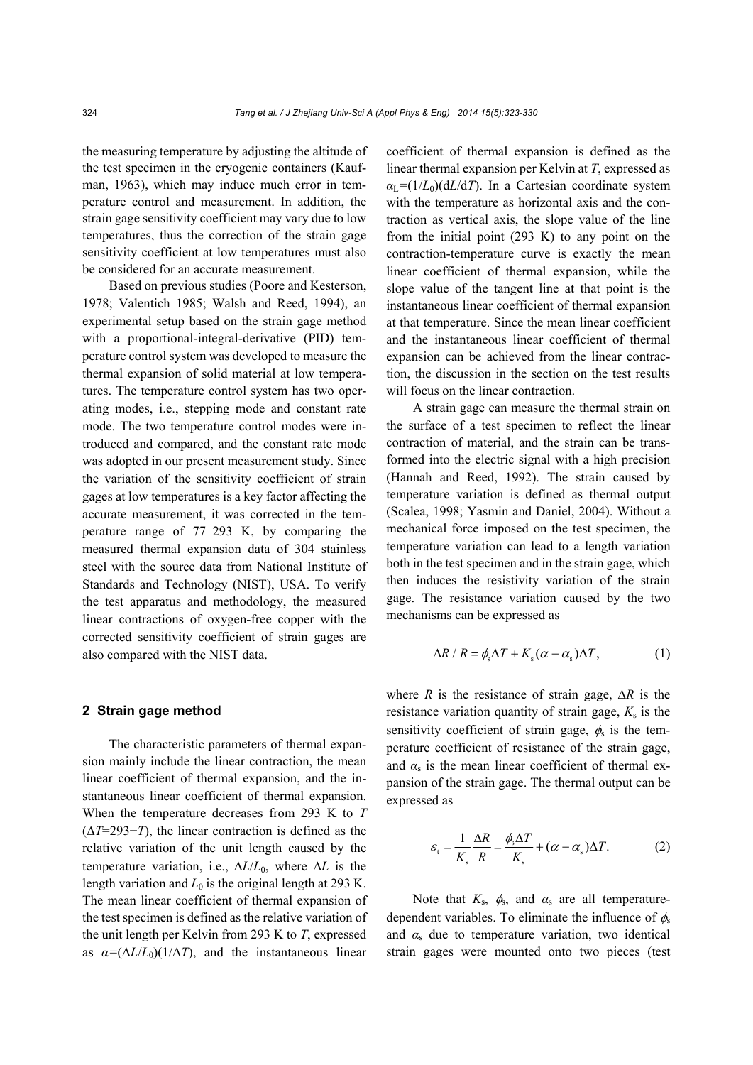the measuring temperature by adjusting the altitude of the test specimen in the cryogenic containers (Kaufman, 1963), which may induce much error in temperature control and measurement. In addition, the strain gage sensitivity coefficient may vary due to low temperatures, thus the correction of the strain gage sensitivity coefficient at low temperatures must also be considered for an accurate measurement.

Based on previous studies (Poore and Kesterson, 1978; Valentich 1985; Walsh and Reed, 1994), an experimental setup based on the strain gage method with a proportional-integral-derivative (PID) temperature control system was developed to measure the thermal expansion of solid material at low temperatures. The temperature control system has two operating modes, i.e., stepping mode and constant rate mode. The two temperature control modes were introduced and compared, and the constant rate mode was adopted in our present measurement study. Since the variation of the sensitivity coefficient of strain gages at low temperatures is a key factor affecting the accurate measurement, it was corrected in the temperature range of 77–293 K, by comparing the measured thermal expansion data of 304 stainless steel with the source data from National Institute of Standards and Technology (NIST), USA. To verify the test apparatus and methodology, the measured linear contractions of oxygen-free copper with the corrected sensitivity coefficient of strain gages are also compared with the NIST data.

### **2 Strain gage method**

The characteristic parameters of thermal expansion mainly include the linear contraction, the mean linear coefficient of thermal expansion, and the instantaneous linear coefficient of thermal expansion. When the temperature decreases from 293 K to *T* (*T*=293−*T*), the linear contraction is defined as the relative variation of the unit length caused by the temperature variation, i.e.,  $\Delta L/L_0$ , where  $\Delta L$  is the length variation and  $L_0$  is the original length at 293 K. The mean linear coefficient of thermal expansion of the test specimen is defined as the relative variation of the unit length per Kelvin from 293 K to *T*, expressed as  $\alpha = (\Delta L / L_0)(1/\Delta T)$ , and the instantaneous linear

coefficient of thermal expansion is defined as the linear thermal expansion per Kelvin at *T*, expressed as  $a_L = (1/L_0)(dL/dT)$ . In a Cartesian coordinate system with the temperature as horizontal axis and the contraction as vertical axis, the slope value of the line from the initial point  $(293 \text{ K})$  to any point on the contraction-temperature curve is exactly the mean linear coefficient of thermal expansion, while the slope value of the tangent line at that point is the instantaneous linear coefficient of thermal expansion at that temperature. Since the mean linear coefficient and the instantaneous linear coefficient of thermal expansion can be achieved from the linear contraction, the discussion in the section on the test results will focus on the linear contraction.

A strain gage can measure the thermal strain on the surface of a test specimen to reflect the linear contraction of material, and the strain can be transformed into the electric signal with a high precision (Hannah and Reed, 1992). The strain caused by temperature variation is defined as thermal output (Scalea, 1998; Yasmin and Daniel, 2004). Without a mechanical force imposed on the test specimen, the temperature variation can lead to a length variation both in the test specimen and in the strain gage, which then induces the resistivity variation of the strain gage. The resistance variation caused by the two mechanisms can be expressed as

$$
\Delta R / R = \phi_{\rm s} \Delta T + K_{\rm s} (\alpha - \alpha_{\rm s}) \Delta T, \tag{1}
$$

where *R* is the resistance of strain gage,  $\Delta R$  is the resistance variation quantity of strain gage,  $K_s$  is the sensitivity coefficient of strain gage,  $\phi_s$  is the temperature coefficient of resistance of the strain gage, and  $\alpha_s$  is the mean linear coefficient of thermal expansion of the strain gage. The thermal output can be expressed as

$$
\varepsilon_{t} = \frac{1}{K_{s}} \frac{\Delta R}{R} = \frac{\phi_{s} \Delta T}{K_{s}} + (\alpha - \alpha_{s}) \Delta T.
$$
 (2)

Note that  $K_s$ ,  $\phi_s$ , and  $\alpha_s$  are all temperaturedependent variables. To eliminate the influence of  $\phi_s$ and  $\alpha_s$  due to temperature variation, two identical strain gages were mounted onto two pieces (test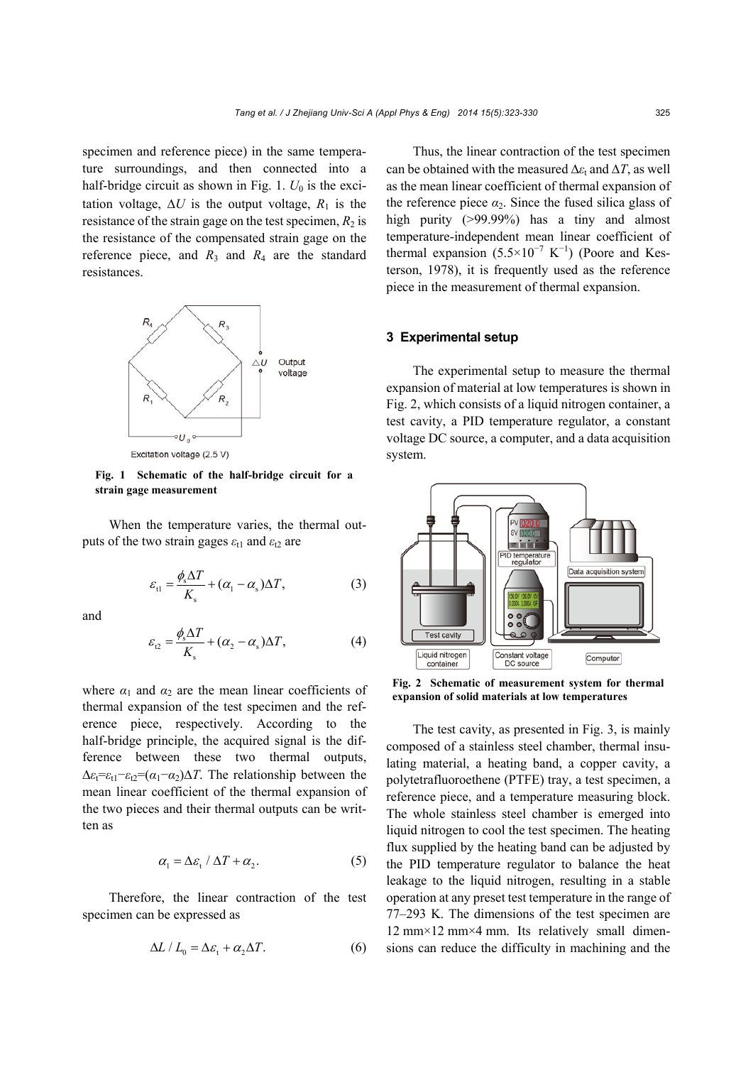specimen and reference piece) in the same temperature surroundings, and then connected into a half-bridge circuit as shown in Fig. 1.  $U_0$  is the excitation voltage,  $\Delta U$  is the output voltage,  $R_1$  is the resistance of the strain gage on the test specimen,  $R_2$  is the resistance of the compensated strain gage on the reference piece, and  $R_3$  and  $R_4$  are the standard resistances.



Excitation voltage (2.5 V)

**Fig. 1 Schematic of the half-bridge circuit for a strain gage measurement** 

When the temperature varies, the thermal outputs of the two strain gages  $\varepsilon_{t1}$  and  $\varepsilon_{t2}$  are

$$
\varepsilon_{\rm tl} = \frac{\phi_{\rm s} \Delta T}{K_{\rm s}} + (\alpha_{\rm l} - \alpha_{\rm s}) \Delta T, \tag{3}
$$

and

$$
\varepsilon_{\Omega} = \frac{\phi_{\rm s} \Delta T}{K_{\rm s}} + (\alpha_2 - \alpha_{\rm s}) \Delta T, \tag{4}
$$

where  $\alpha_1$  and  $\alpha_2$  are the mean linear coefficients of thermal expansion of the test specimen and the reference piece, respectively. According to the half-bridge principle, the acquired signal is the difference between these two thermal outputs,  $\Delta \varepsilon_t = \varepsilon_{t1} - \varepsilon_{t2} = (\alpha_1 - \alpha_2) \Delta T$ . The relationship between the mean linear coefficient of the thermal expansion of the two pieces and their thermal outputs can be written as

$$
\alpha_1 = \Delta \varepsilon_t / \Delta T + \alpha_2. \tag{5}
$$

Therefore, the linear contraction of the test specimen can be expressed as

$$
\Delta L / L_0 = \Delta \varepsilon_t + \alpha_2 \Delta T. \tag{6}
$$

Thus, the linear contraction of the test specimen can be obtained with the measured  $\Delta \varepsilon_t$  and  $\Delta T$ , as well as the mean linear coefficient of thermal expansion of the reference piece  $\alpha_2$ . Since the fused silica glass of high purity (>99.99%) has a tiny and almost temperature-independent mean linear coefficient of thermal expansion  $(5.5 \times 10^{-7} \text{ K}^{-1})$  (Poore and Kesterson, 1978), it is frequently used as the reference piece in the measurement of thermal expansion.

#### **3 Experimental setup**

The experimental setup to measure the thermal expansion of material at low temperatures is shown in Fig. 2, which consists of a liquid nitrogen container, a test cavity, a PID temperature regulator, a constant voltage DC source, a computer, and a data acquisition system.



**Fig. 2 Schematic of measurement system for thermal expansion of solid materials at low temperatures**

The test cavity, as presented in Fig. 3, is mainly composed of a stainless steel chamber, thermal insulating material, a heating band, a copper cavity, a polytetrafluoroethene (PTFE) tray, a test specimen, a reference piece, and a temperature measuring block. The whole stainless steel chamber is emerged into liquid nitrogen to cool the test specimen. The heating flux supplied by the heating band can be adjusted by the PID temperature regulator to balance the heat leakage to the liquid nitrogen, resulting in a stable operation at any preset test temperature in the range of 77–293 K. The dimensions of the test specimen are 12 mm×12 mm×4 mm. Its relatively small dimensions can reduce the difficulty in machining and the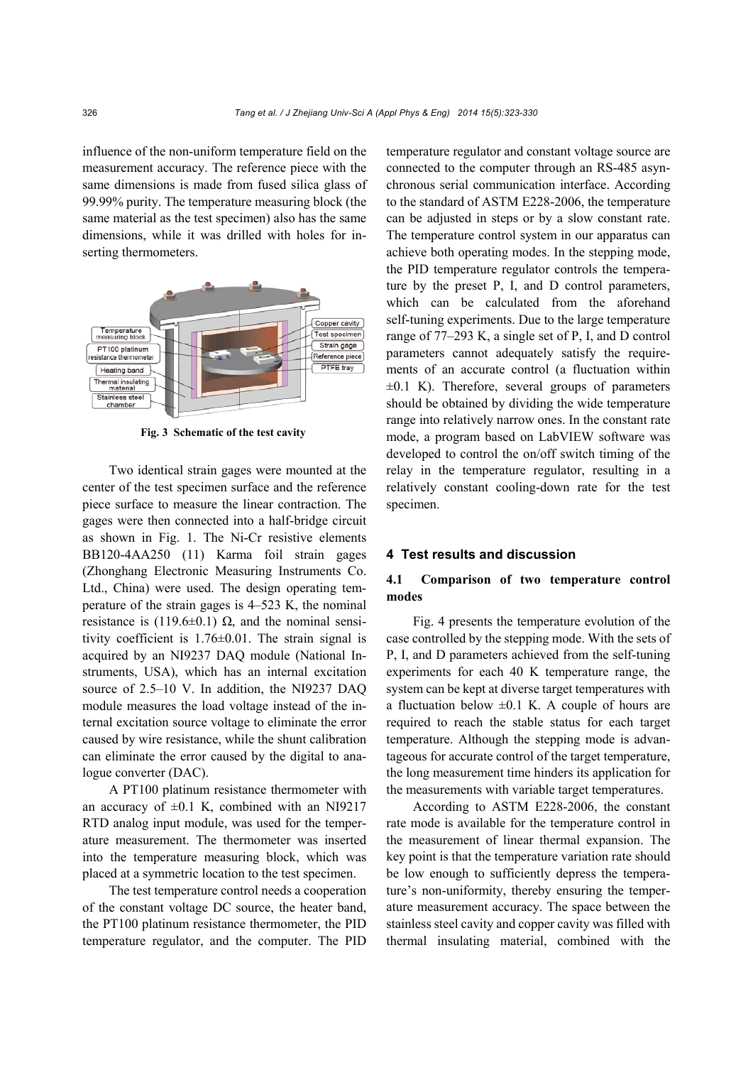influence of the non-uniform temperature field on the measurement accuracy. The reference piece with the same dimensions is made from fused silica glass of 99.99% purity. The temperature measuring block (the same material as the test specimen) also has the same dimensions, while it was drilled with holes for inserting thermometers.



**Fig. 3 Schematic of the test cavity** 

Two identical strain gages were mounted at the center of the test specimen surface and the reference piece surface to measure the linear contraction. The gages were then connected into a half-bridge circuit as shown in Fig. 1. The Ni-Cr resistive elements BB120-4AA250 (11) Karma foil strain gages (Zhonghang Electronic Measuring Instruments Co. Ltd., China) were used. The design operating temperature of the strain gages is 4–523 K, the nominal resistance is (119.6±0.1)  $\Omega$ , and the nominal sensitivity coefficient is 1.76±0.01. The strain signal is acquired by an NI9237 DAQ module (National Instruments, USA), which has an internal excitation source of 2.5–10 V. In addition, the NI9237 DAO module measures the load voltage instead of the internal excitation source voltage to eliminate the error caused by wire resistance, while the shunt calibration can eliminate the error caused by the digital to analogue converter (DAC).

A PT100 platinum resistance thermometer with an accuracy of  $\pm 0.1$  K, combined with an NI9217 RTD analog input module, was used for the temperature measurement. The thermometer was inserted into the temperature measuring block, which was placed at a symmetric location to the test specimen.

The test temperature control needs a cooperation of the constant voltage DC source, the heater band, the PT100 platinum resistance thermometer, the PID temperature regulator, and the computer. The PID temperature regulator and constant voltage source are connected to the computer through an RS-485 asynchronous serial communication interface. According to the standard of ASTM E228-2006, the temperature can be adjusted in steps or by a slow constant rate. The temperature control system in our apparatus can achieve both operating modes. In the stepping mode, the PID temperature regulator controls the temperature by the preset P, I, and D control parameters, which can be calculated from the aforehand self-tuning experiments. Due to the large temperature range of 77–293 K, a single set of P, I, and D control parameters cannot adequately satisfy the requirements of an accurate control (a fluctuation within  $\pm 0.1$  K). Therefore, several groups of parameters should be obtained by dividing the wide temperature range into relatively narrow ones. In the constant rate mode, a program based on LabVIEW software was developed to control the on/off switch timing of the relay in the temperature regulator, resulting in a relatively constant cooling-down rate for the test specimen.

### **4 Test results and discussion**

## **4.1 Comparison of two temperature control modes**

Fig. 4 presents the temperature evolution of the case controlled by the stepping mode. With the sets of P, I, and D parameters achieved from the self-tuning experiments for each 40 K temperature range, the system can be kept at diverse target temperatures with a fluctuation below  $\pm 0.1$  K. A couple of hours are required to reach the stable status for each target temperature. Although the stepping mode is advantageous for accurate control of the target temperature, the long measurement time hinders its application for the measurements with variable target temperatures.

According to ASTM E228-2006, the constant rate mode is available for the temperature control in the measurement of linear thermal expansion. The key point is that the temperature variation rate should be low enough to sufficiently depress the temperature's non-uniformity, thereby ensuring the temperature measurement accuracy. The space between the stainless steel cavity and copper cavity was filled with thermal insulating material, combined with the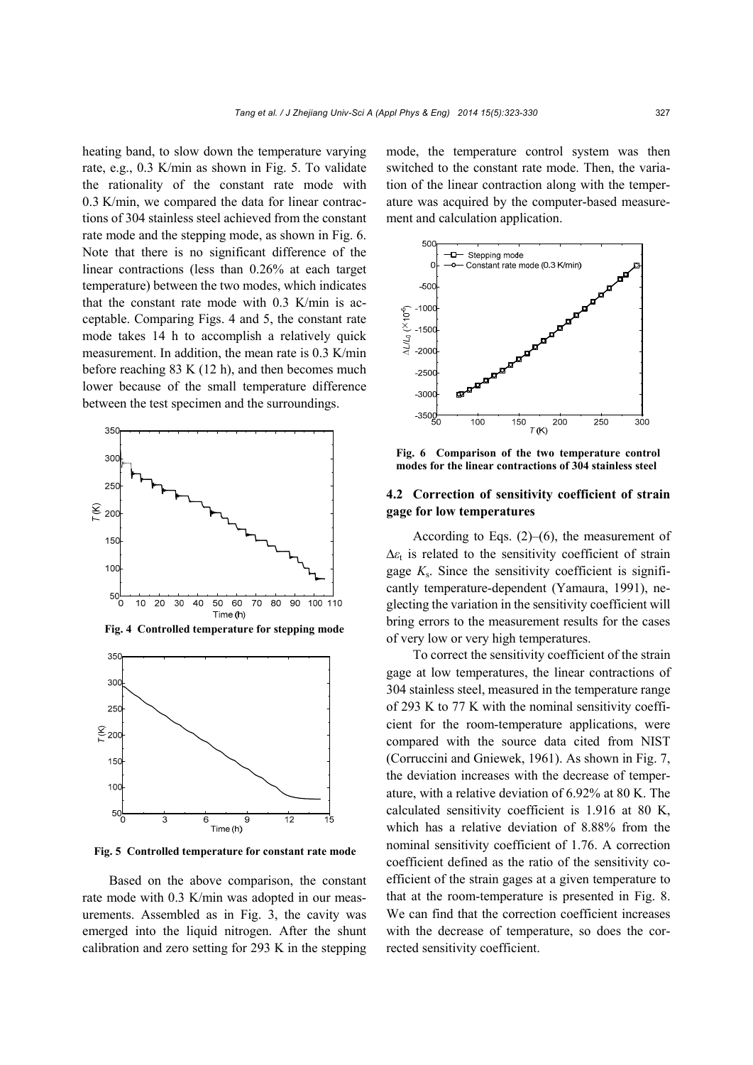heating band, to slow down the temperature varying rate, e.g., 0.3 K/min as shown in Fig. 5. To validate the rationality of the constant rate mode with 0.3 K/min, we compared the data for linear contractions of 304 stainless steel achieved from the constant rate mode and the stepping mode, as shown in Fig. 6. Note that there is no significant difference of the linear contractions (less than 0.26% at each target temperature) between the two modes, which indicates that the constant rate mode with 0.3 K/min is acceptable. Comparing Figs. 4 and 5, the constant rate mode takes 14 h to accomplish a relatively quick measurement. In addition, the mean rate is 0.3 K/min before reaching 83 K (12 h), and then becomes much lower because of the small temperature difference between the test specimen and the surroundings.



**Fig. 4 Controlled temperature for stepping mode**



**Fig. 5 Controlled temperature for constant rate mode**

Based on the above comparison, the constant rate mode with 0.3 K/min was adopted in our measurements. Assembled as in Fig. 3, the cavity was emerged into the liquid nitrogen. After the shunt calibration and zero setting for 293 K in the stepping mode, the temperature control system was then switched to the constant rate mode. Then, the variation of the linear contraction along with the temperature was acquired by the computer-based measurement and calculation application.



**Fig. 6 Comparison of the two temperature control modes for the linear contractions of 304 stainless steel**

## **4.2 Correction of sensitivity coefficient of strain gage for low temperatures**

According to Eqs.  $(2)$ – $(6)$ , the measurement of  $\Delta \varepsilon_t$  is related to the sensitivity coefficient of strain gage  $K_s$ . Since the sensitivity coefficient is significantly temperature-dependent (Yamaura, 1991), neglecting the variation in the sensitivity coefficient will bring errors to the measurement results for the cases of very low or very high temperatures.

To correct the sensitivity coefficient of the strain gage at low temperatures, the linear contractions of 304 stainless steel, measured in the temperature range of 293 K to 77 K with the nominal sensitivity coefficient for the room-temperature applications, were compared with the source data cited from NIST (Corruccini and Gniewek, 1961). As shown in Fig. 7, the deviation increases with the decrease of temperature, with a relative deviation of 6.92% at 80 K. The calculated sensitivity coefficient is 1.916 at 80 K, which has a relative deviation of 8.88% from the nominal sensitivity coefficient of 1.76. A correction coefficient defined as the ratio of the sensitivity coefficient of the strain gages at a given temperature to that at the room-temperature is presented in Fig. 8. We can find that the correction coefficient increases with the decrease of temperature, so does the corrected sensitivity coefficient.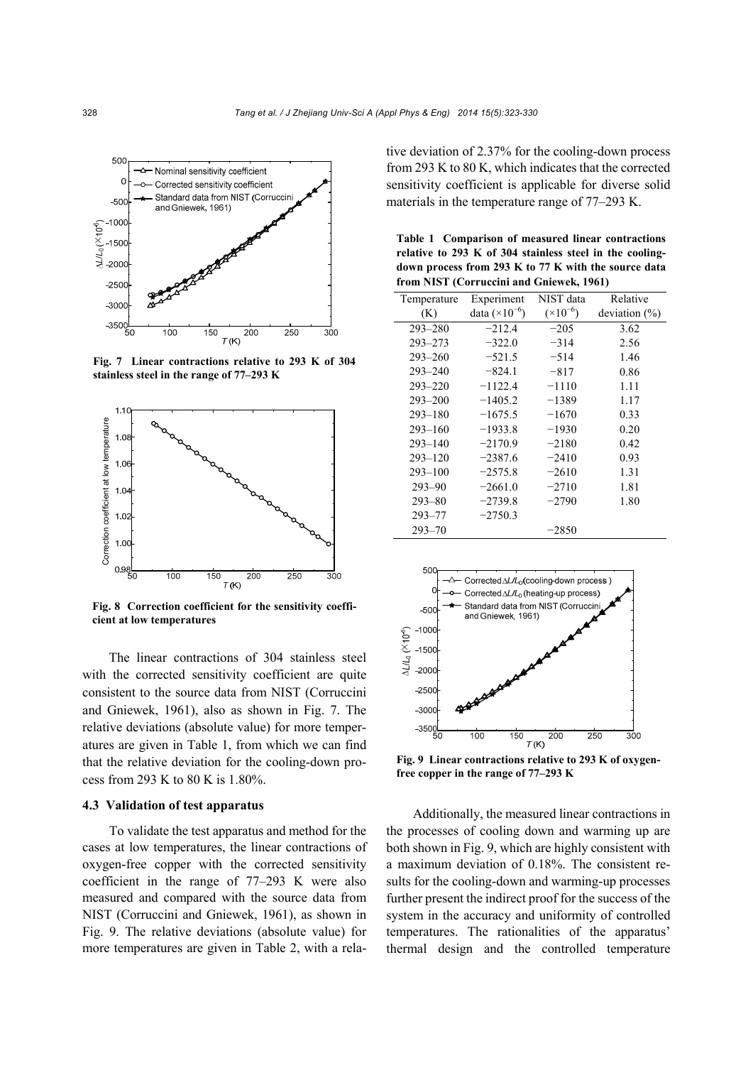

**Fig. 7 Linear contractions relative to 293 K of 304 stainless steel in the range of 77–293 K**



**Fig. 8 Correction coefficient for the sensitivity coefficient at low temperatures**

The linear contractions of 304 stainless steel with the corrected sensitivity coefficient are quite consistent to the source data from NIST (Corruccini and Gniewek, 1961), also as shown in Fig. 7. The relative deviations (absolute value) for more temperatures are given in Table 1, from which we can find that the relative deviation for the cooling-down process from 293 K to 80 K is 1.80%.

#### **4.3 Validation of test apparatus**

To validate the test apparatus and method for the cases at low temperatures, the linear contractions of oxygen-free copper with the corrected sensitivity coefficient in the range of 77–293 K were also measured and compared with the source data from NIST (Corruccini and Gniewek, 1961), as shown in Fig. 9. The relative deviations (absolute value) for more temperatures are given in Table 2, with a relative deviation of 2.37% for the cooling-down process from 293 K to 80 K, which indicates that the corrected sensitivity coefficient is applicable for diverse solid materials in the temperature range of 77–293 K.

**Table 1 Comparison of measured linear contractions relative to 293 K of 304 stainless steel in the coolingdown process from 293 K to 77 K with the source data from NIST (Corruccini and Gniewek, 1961)** 

| Temperature | Experiment              | NIST data          | Relative         |
|-------------|-------------------------|--------------------|------------------|
| (K)         | data $(\times 10^{-6})$ | $(\times 10^{-6})$ | deviation $(\%)$ |
| $293 - 280$ | $-212.4$                | $-205$             | 3.62             |
| $293 - 273$ | $-322.0$                | $-314$             | 2.56             |
| $293 - 260$ | $-521.5$                | $-514$             | 1.46             |
| $293 - 240$ | $-824.1$                | $-817$             | 0.86             |
| $293 - 220$ | $-1122.4$               | $-1110$            | 1.11             |
| $293 - 200$ | $-1405.2$               | $-1389$            | 1.17             |
| $293 - 180$ | $-1675.5$               | $-1670$            | 0.33             |
| $293 - 160$ | $-1933.8$               | $-1930$            | 0.20             |
| $293 - 140$ | $-2170.9$               | $-2180$            | 0.42             |
| $293 - 120$ | $-2387.6$               | $-2410$            | 0.93             |
| $293 - 100$ | $-2575.8$               | $-2610$            | 1.31             |
| $293 - 90$  | $-2661.0$               | $-2710$            | 1.81             |
| $293 - 80$  | $-2739.8$               | $-2790$            | 1.80             |
| $293 - 77$  | $-2750.3$               |                    |                  |
| $293 - 70$  |                         | $-2850$            |                  |



**Fig. 9 Linear contractions relative to 293 K of oxygenfree copper in the range of 77–293 K**

Additionally, the measured linear contractions in the processes of cooling down and warming up are both shown in Fig. 9, which are highly consistent with a maximum deviation of 0.18%. The consistent results for the cooling-down and warming-up processes further present the indirect proof for the success of the system in the accuracy and uniformity of controlled temperatures. The rationalities of the apparatus' thermal design and the controlled temperature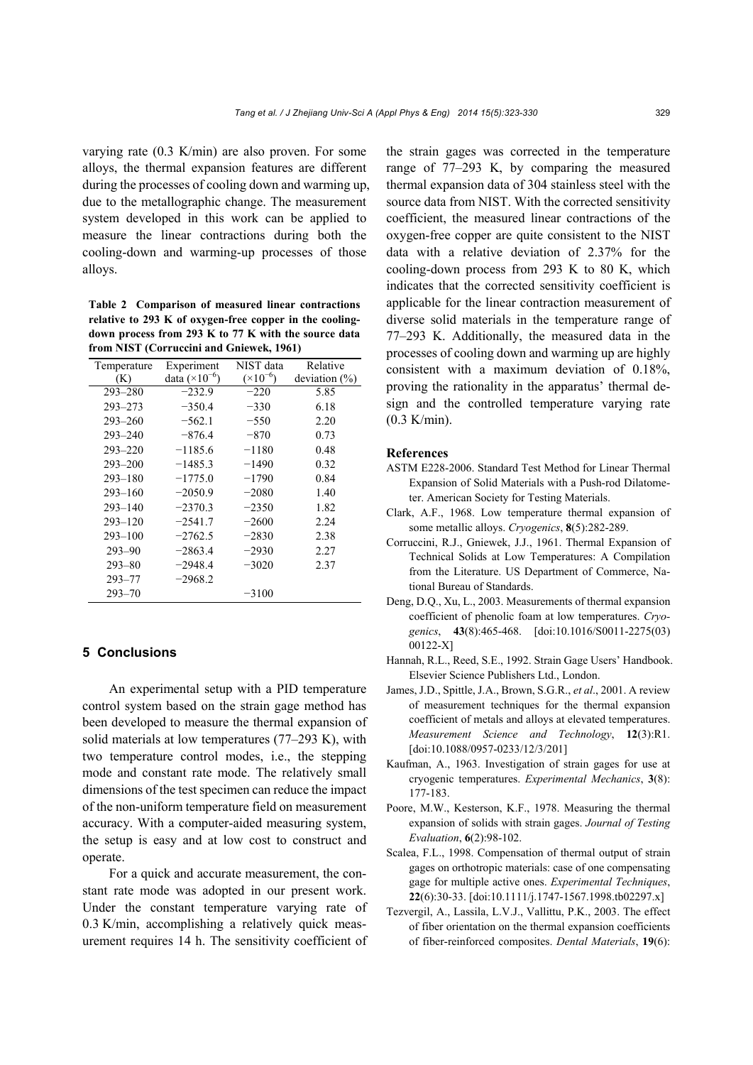varying rate (0.3 K/min) are also proven. For some alloys, the thermal expansion features are different during the processes of cooling down and warming up, due to the metallographic change. The measurement system developed in this work can be applied to measure the linear contractions during both the cooling-down and warming-up processes of those alloys.

**Table 2 Comparison of measured linear contractions relative to 293 K of oxygen-free copper in the coolingdown process from 293 K to 77 K with the source data from NIST (Corruccini and Gniewek, 1961)** 

| Temperature | Experiment              | NIST data          | Relative         |
|-------------|-------------------------|--------------------|------------------|
| (K)         | data $(\times 10^{-6})$ | $(\times 10^{-6})$ | deviation $(\%)$ |
| $293 - 280$ | $-232.9$                | $-220$             | 5.85             |
| $293 - 273$ | $-350.4$                | $-330$             | 6.18             |
| $293 - 260$ | $-562.1$                | $-550$             | 2.20             |
| $293 - 240$ | $-876.4$                | $-870$             | 0.73             |
| $293 - 220$ | $-1185.6$               | $-1180$            | 0.48             |
| $293 - 200$ | $-1485.3$               | $-1490$            | 0.32             |
| $293 - 180$ | $-1775.0$               | $-1790$            | 0.84             |
| $293 - 160$ | $-2050.9$               | $-2080$            | 1.40             |
| $293 - 140$ | $-2370.3$               | $-2350$            | 1.82             |
| $293 - 120$ | $-2541.7$               | $-2600$            | 2.24             |
| $293 - 100$ | $-2762.5$               | $-2830$            | 2.38             |
| $293 - 90$  | $-2863.4$               | $-2930$            | 2.27             |
| $293 - 80$  | $-2948.4$               | $-3020$            | 2.37             |
| $293 - 77$  | $-2968.2$               |                    |                  |
| $293 - 70$  |                         | $-3100$            |                  |

## **5 Conclusions**

An experimental setup with a PID temperature control system based on the strain gage method has been developed to measure the thermal expansion of solid materials at low temperatures (77–293 K), with two temperature control modes, i.e., the stepping mode and constant rate mode. The relatively small dimensions of the test specimen can reduce the impact of the non-uniform temperature field on measurement accuracy. With a computer-aided measuring system, the setup is easy and at low cost to construct and operate.

For a quick and accurate measurement, the constant rate mode was adopted in our present work. Under the constant temperature varying rate of 0.3 K/min, accomplishing a relatively quick measurement requires 14 h. The sensitivity coefficient of the strain gages was corrected in the temperature range of 77–293 K, by comparing the measured thermal expansion data of 304 stainless steel with the source data from NIST. With the corrected sensitivity coefficient, the measured linear contractions of the oxygen-free copper are quite consistent to the NIST data with a relative deviation of 2.37% for the cooling-down process from 293 K to 80 K, which indicates that the corrected sensitivity coefficient is applicable for the linear contraction measurement of diverse solid materials in the temperature range of 77–293 K. Additionally, the measured data in the processes of cooling down and warming up are highly consistent with a maximum deviation of 0.18%, proving the rationality in the apparatus' thermal design and the controlled temperature varying rate (0.3 K/min).

#### **References**

- ASTM E228-2006. Standard Test Method for Linear Thermal Expansion of Solid Materials with a Push-rod Dilatometer. American Society for Testing Materials.
- Clark, A.F., 1968. Low temperature thermal expansion of some metallic alloys. *Cryogenics*, **8**(5):282-289.
- Corruccini, R.J., Gniewek, J.J., 1961. Thermal Expansion of Technical Solids at Low Temperatures: A Compilation from the Literature. US Department of Commerce, National Bureau of Standards.
- Deng, D.Q., Xu, L., 2003. Measurements of thermal expansion coefficient of phenolic foam at low temperatures. *Cryogenics*, **43**(8):465-468. [doi:10.1016/S0011-2275(03) 00122-X]
- Hannah, R.L., Reed, S.E., 1992. Strain Gage Users' Handbook. Elsevier Science Publishers Ltd., London.
- James, J.D., Spittle, J.A., Brown, S.G.R., *et al*., 2001. A review of measurement techniques for the thermal expansion coefficient of metals and alloys at elevated temperatures. *Measurement Science and Technology*, **12**(3):R1. [doi:10.1088/0957-0233/12/3/201]
- Kaufman, A., 1963. Investigation of strain gages for use at cryogenic temperatures. *Experimental Mechanics*, **3**(8): 177-183.
- Poore, M.W., Kesterson, K.F., 1978. Measuring the thermal expansion of solids with strain gages. *Journal of Testing Evaluation*, **6**(2):98-102.
- Scalea, F.L., 1998. Compensation of thermal output of strain gages on orthotropic materials: case of one compensating gage for multiple active ones. *Experimental Techniques*, **22**(6):30-33. [doi:10.1111/j.1747-1567.1998.tb02297.x]
- Tezvergil, A., Lassila, L.V.J., Vallittu, P.K., 2003. The effect of fiber orientation on the thermal expansion coefficients of fiber-reinforced composites. *Dental Materials*, **19**(6):